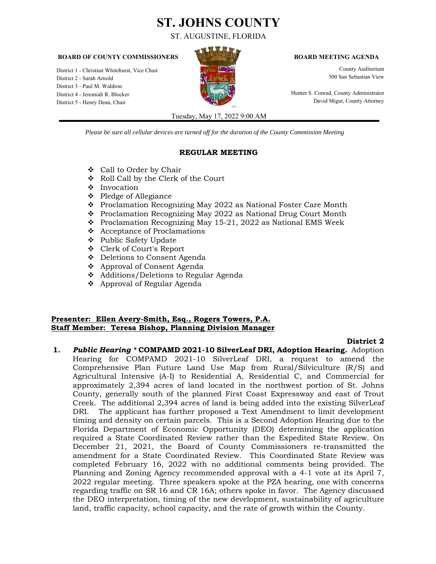# **ST. JOHNS COUNTY**

ST. AUGUSTINE, FLORIDA

#### **BOARD OF COUNTY COMMISSIONERS BOARD MEETING AGENDA**

District 1 - Christian Whitehurst, Vice Chair County Auditorium County Auditorium District 2 - Sarah Arnold **1986 San Sebastian View 3. The San Sebastian View 3. The Separation School San Sebastian View** District 3 - Paul M. Waldron District 4 - Jeremiah R. Blocker Hunter S. Conrad, County Administrator Hunter S. Conrad, County Administrator<br>Pistrict 5 - Henry Dean Chair District 5 - Henry Dean, Chair



Tuesday, May 17, 2022 9:00 AM

*Please be sure all cellular devices are turned off for the duration of the County Commission Meeting*

#### **REGULAR MEETING**

- Call to Order by Chair
- Roll Call by the Clerk of the Court
- ❖ Invocation
- Pledge of Allegiance
- Proclamation Recognizing May 2022 as National Foster Care Month
- Proclamation Recognizing May 2022 as National Drug Court Month
- $\div$  Proclamation Recognizing May 15-21, 2022 as National EMS Week
- Acceptance of Proclamations
- Public Safety Update
- Clerk of Court's Report
- Deletions to Consent Agenda
- Approval of Consent Agenda
- Additions/Deletions to Regular Agenda
- Approval of Regular Agenda

### **Presenter: Ellen Avery-Smith, Esq., Rogers Towers, P.A. Staff Member: Teresa Bishop, Planning Division Manager**

### **District 2**

**1.** *Public Hearing \** **COMPAMD 2021-10 SilverLeaf DRI, Adoption Hearing.** Adoption Hearing for COMPAMD 2021-10 SilverLeaf DRI, a request to amend the Comprehensive Plan Future Land Use Map from Rural/Silviculture (R/S) and [Agricultural Intensive \(A-I\) to Residential A, Residential C, and Commercial for](https://stjohnsclerk.com/minrec/agendas/2022/051722cd/05-17-22REG01.pdf)  approximately 2,394 acres of land located in the northwest portion of St. Johns County, generally south of the planned First Coast Expressway and east of Trout Creek. The additional 2,394 acres of land is being added into the existing SilverLeaf DRI. The applicant has further proposed a Text Amendment to limit development timing and density on certain parcels. This is a Second Adoption Hearing due to the Florida Department of Economic Opportunity (DEO) determining the application required a State Coordinated Review rather than the Expedited State Review. On December 21, 2021, the Board of County Commissioners re-transmitted the amendment for a State Coordinated Review. This Coordinated State Review was completed February 16, 2022 with no additional comments being provided. The Planning and Zoning Agency recommended approval with a 4-1 vote at its April 7, 2022 regular meeting. Three speakers spoke at the PZA hearing, one with concerns regarding traffic on SR 16 and CR 16A; others spoke in favor. The Agency discussed the DEO interpretation, timing of the new development, sustainability of agriculture land, traffic capacity, school capacity, and the rate of growth within the County.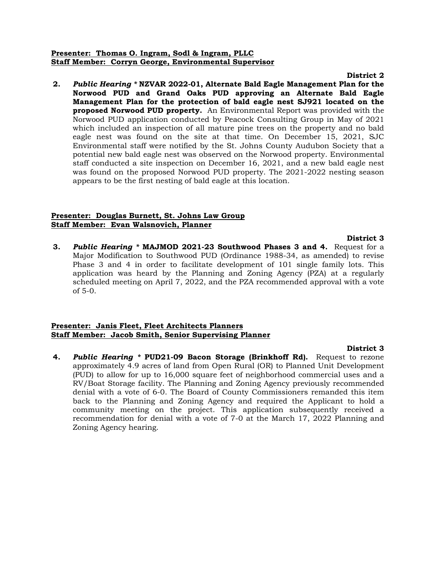### **Presenter: Thomas O. Ingram, Sodl & Ingram, PLLC Staff Member: Corryn George, Environmental Supervisor**

#### **District 2**

**2.** *Public Hearing \** **NZVAR 2022-01, Alternate Bald Eagle Management Plan for the [Norwood PUD and Grand Oaks PUD approving an Alternate Bald Eagle](https://stjohnsclerk.com/minrec/agendas/2022/051722cd/05-17-22REG02.pdf)  Management Plan for the protection of bald eagle nest SJ921 located on the proposed Norwood PUD property.** An Environmental Report was provided with the Norwood PUD application conducted by Peacock Consulting Group in May of 2021 which included an inspection of all mature pine trees on the property and no bald eagle nest was found on the site at that time. On December 15, 2021, SJC Environmental staff were notified by the St. Johns County Audubon Society that a potential new bald eagle nest was observed on the Norwood property. Environmental staff conducted a site inspection on December 16, 2021, and a new bald eagle nest was found on the proposed Norwood PUD property. The 2021-2022 nesting season appears to be the first nesting of bald eagle at this location.

#### **Presenter: Douglas Burnett, St. Johns Law Group Staff Member: Evan Walsnovich, Planner**

**District 3 3.** *Public Hearing \** **MAJMOD 2021-23 Southwood Phases 3 and 4.** Request for a Major Modification to Southwood PUD (Ordinance 1988-34, as amended) to revise Phase 3 and 4 in order to facilitate development of 101 single family lots. This application was heard by the Planning and Zoning Agency (PZA) at a regularly [scheduled meeting on April 7, 2022, and the PZA recommended approval with a vote](https://stjohnsclerk.com/minrec/agendas/2022/051722cd/05-17-22REG03.pdf)  of 5-0.

#### **Presenter: Janis Fleet, Fleet Architects Planners Staff Member: Jacob Smith, Senior Supervising Planner**

**4.** *Public Hearing \** **PUD21-09 Bacon Storage (Brinkhoff Rd).** Request to rezone approximately 4.9 acres of land from Open Rural (OR) to Planned Unit Development (PUD) to allow for up to 16,000 square feet of neighborhood commercial uses and a RV/Boat Storage facility. The Planning and Zoning Agency previously recommended denial with a vote of 6-0. The Board of County Commissioners remanded this item back to the Planning and Zoning Agency and required the Applicant to hold a [community meeting on the project. This application subsequently received a](https://stjohnsclerk.com/minrec/agendas/2022/051722cd/05-17-22REG04.pdf)  recommendation for denial with a vote of 7-0 at the March 17, 2022 Planning and Zoning Agency hearing.

#### **District 3**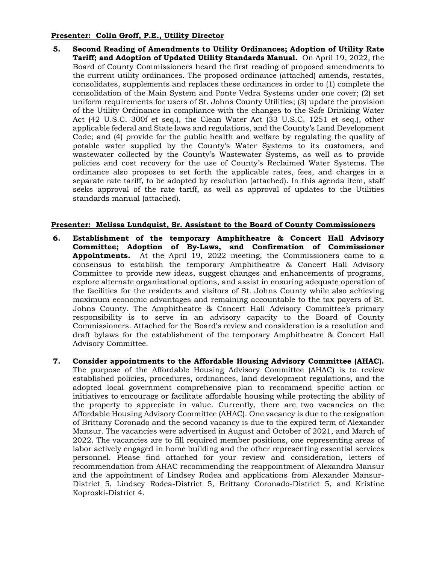## **Presenter: Colin Groff, P.E., Utility Director**

**5. [Second Reading of Amendments to Utility Ordinances; Adoption of Utility Rate](https://stjohnsclerk.com/minrec/agendas/2022/051722cd/05-17-22REG05.pdf)  Tariff; and Adoption of Updated Utility Standards Manual.** On April 19, 2022, the Board of County Commissioners heard the first reading of proposed amendments to the current utility ordinances. The proposed ordinance (attached) amends, restates, consolidates, supplements and replaces these ordinances in order to (1) complete the consolidation of the Main System and Ponte Vedra Systems under one cover; (2) set uniform requirements for users of St. Johns County Utilities; (3) update the provision of the Utility Ordinance in compliance with the changes to the Safe Drinking Water Act (42 U.S.C. 300f et seq.), the Clean Water Act (33 U.S.C. 1251 et seq.), other applicable federal and State laws and regulations, and the County's Land Development Code; and (4) provide for the public health and welfare by regulating the quality of potable water supplied by the County's Water Systems to its customers, and wastewater collected by the County's Wastewater Systems, as well as to provide policies and cost recovery for the use of County's Reclaimed Water Systems. The ordinance also proposes to set forth the applicable rates, fees, and charges in a separate rate tariff, to be adopted by resolution (attached). In this agenda item, staff seeks approval of the rate tariff, as well as approval of updates to the Utilities standards manual (attached).

## **Presenter: Melissa Lundquist, Sr. Assistant to the Board of County Commissioners**

- **6. Establishment of the temporary Amphitheatre & Concert Hall Advisory [Committee; Adoption of By-Laws, and Confirmation of Commissioner](https://stjohnsclerk.com/minrec/agendas/2022/051722cd/05-17-22REG06.pdf)  Appointments.** At the April 19, 2022 meeting, the Commissioners came to a consensus to establish the temporary Amphitheatre & Concert Hall Advisory Committee to provide new ideas, suggest changes and enhancements of programs, explore alternate organizational options, and assist in ensuring adequate operation of the facilities for the residents and visitors of St. Johns County while also achieving maximum economic advantages and remaining accountable to the tax payers of St. Johns County. The Amphitheatre & Concert Hall Advisory Committee's primary responsibility is to serve in an advisory capacity to the Board of County Commissioners. Attached for the Board's review and consideration is a resolution and draft bylaws for the establishment of the temporary Amphitheatre & Concert Hall Advisory Committee.
- **7. Consider appointments to the Affordable Housing Advisory Committee (AHAC).** The purpose of the Affordable Housing Advisory Committee (AHAC) is to review established policies, procedures, ordinances, land development regulations, and the adopted local government comprehensive plan to recommend specific action or initiatives to encourage or facilitate affordable housing while protecting the ability of the property to appreciate in value. Currently, there are two vacancies on the Affordable Housing Advisory Committee (AHAC). One vacancy is due to the resignation of Brittany Coronado and the second vacancy is due to the expired term of Alexander Mansur. The vacancies were advertised in August and October of 2021, and March of 2022. The vacancies are to fill required member positions, one representing areas of labor actively engaged in home building and the other representing essential services personnel. Please find attached for your review and consideration, letters of [recommendation from AHAC recommending the reappointment of Alexandra Mansur](https://stjohnsclerk.com/minrec/agendas/2022/051722cd/05-17-22REG07.pdf)  and the appointment of Lindsey Rodea and applications from Alexander Mansur-District 5, Lindsey Rodea-District 5, Brittany Coronado-District 5, and Kristine Koproski-District 4.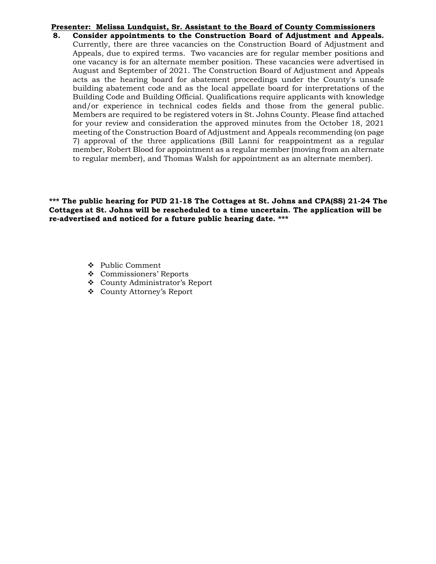### **Presenter: Melissa Lundquist, Sr. Assistant to the Board of County Commissioners**

**8. Consider appointments to the Construction Board of Adjustment and Appeals.** Currently, there are three vacancies on the Construction Board of Adjustment and Appeals, due to expired terms. Two vacancies are for regular member positions and one vacancy is for an alternate member position. These vacancies were advertised in August and September of 2021. The Construction Board of Adjustment and Appeals acts as the hearing board for abatement proceedings under the County's unsafe building abatement code and as the local appellate board for interpretations of the Building Code and Building Official. Qualifications require applicants with knowledge and/or experience in technical codes fields and those from the general public. Members are required to be registered voters in St. Johns County. Please find attached for your review and consideration the approved minutes from the October 18, 2021 meeting of the Construction Board of Adjustment and Appeals recommending (on page [7\) approval of the three applications \(Bill Lanni for reappointment as a regular](https://stjohnsclerk.com/minrec/agendas/2022/051722cd/05-17-22REG08.pdf)  member, Robert Blood for appointment as a regular member (moving from an alternate to regular member), and Thomas Walsh for appointment as an alternate member).

**\*\*\* The public hearing for PUD 21-18 The Cottages at St. Johns and CPA(SS) 21-24 The Cottages at St. Johns will be rescheduled to a time uncertain. The application will be re-advertised and noticed for a future public hearing date. \*\*\*** 

- ❖ Public Comment
- Commissioners' Reports
- County Administrator's Report
- County Attorney's Report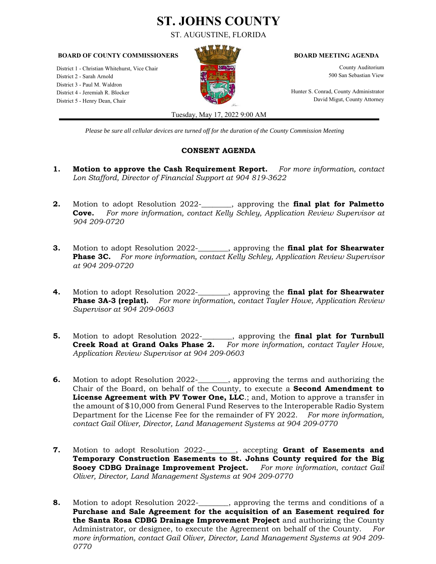# **ST. JOHNS COUNTY**

ST. AUGUSTINE, FLORIDA

#### **BOARD OF COUNTY COMMISSIONERS BOARD MEETING AGENDA**

District 1 - Christian Whitehurst, Vice Chair **County Auditorium**<br>District 2 - Sarah Arnold County Auditorium<br>County Auditorium County Auditorium County Auditorium County Auditorium District 2 - Sarah Arnold District 3 - Paul M. Waldron District 4 - Jeremiah R. Blocker Hunter S. Conrad, County Administrator District 5 - Henry Dean, Chair **David Migut, County Attorney** David Migut, County Attorney



Tuesday, May 17, 2022 9:00 AM

*Please be sure all cellular devices are turned off for the duration of the County Commission Meeting*

# **CONSENT AGENDA**

- **1. Motion to approve the Cash Requirement Report.** *For more information, contact [Lon Stafford, Director of Financial Support at 904 819-3622](https://stjohnsclerk.com/minrec/agendas/2022/051722cd/05-17-22CON01.pdf)*
- **2.** Motion to adopt Resolution 2022- , approving the **final plat for Palmetto Cove.** *[For more information, contact Kelly Schley, Application Review Supervisor at](https://stjohnsclerk.com/minrec/agendas/2022/051722cd/05-17-22CON02.pdf)  904 209-0720*
- **3.** Motion to adopt Resolution 2022-\_\_\_\_\_\_\_\_, approving the **final plat for Shearwater Phase 3C.** *[For more information, contact Kelly Schley, Application Review Supervisor](https://stjohnsclerk.com/minrec/agendas/2022/051722cd/05-17-22CON03.pdf)  at 904 209-0720*
- **4.** Motion to adopt Resolution 2022-\_\_\_\_\_\_\_\_, approving the **final plat for Shearwater Phase 3A-3 (replat).** *[For more information, contact Tayler Howe, Application Review](https://stjohnsclerk.com/minrec/agendas/2022/051722cd/05-17-22CON04.pdf)  Supervisor at 904 209-0603*
- **5.** [Motion to adopt Resolution 2022-\\_\\_\\_\\_\\_\\_\\_\\_, approving the](https://stjohnsclerk.com/minrec/agendas/2022/051722cd/05-17-22CON05.pdf) **final plat for Turnbull Creek Road at Grand Oaks Phase 2.** *For more information, contact Tayler Howe, Application Review Supervisor at 904 209-0603*
- **6.** Motion to adopt Resolution 2022-\_\_\_\_\_\_, approving the terms and authorizing the Chair of the Board, on behalf of the County, to execute a **Second Amendment to License Agreement with PV Tower One, LLC**.; and, Motion to approve a transfer in the amount of \$10,000 from General Fund Reserves to the Interoperable Radio System Department for the License Fee for the remainder of FY 2022. *For more information, contact Gail Oliver, Director, Land Management Systems at 904 209-0770*
- **7.** Motion to adopt Resolution 2022-\_\_\_\_\_\_\_\_, accepting **Grant of Easements and [Temporary Construction Easements to St. Johns County required for the Big](https://stjohnsclerk.com/minrec/agendas/2022/051722cd/05-17-22CON07.pdf)  Sooey CDBG Drainage Improvement Project.** *For more information, contact Gail Oliver, Director, Land Management Systems at 904 209-0770*
- **8.** [Motion to adopt Resolution 2022-\\_\\_\\_\\_\\_\\_\\_\\_, approving the terms and conditions of a](https://stjohnsclerk.com/minrec/agendas/2022/051722cd/05-17-22CON08.pdf)  **Purchase and Sale Agreement for the acquisition of an Easement required for the Santa Rosa CDBG Drainage Improvement Project** and authorizing the County Administrator, or designee, to execute the Agreement on behalf of the County. *For more information, contact Gail Oliver, Director, Land Management Systems at 904 209- 0770*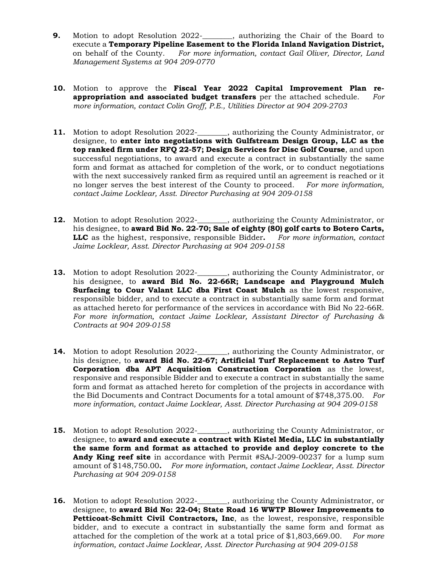- **9.** Motion to adopt Resolution 2022-<br>
, authorizing the Chair of the Board to execute a **Temporary Pipeline Easement to the Florida Inland Navigation District,**  on behalf of the County. *For more information, contact Gail Oliver, Director, Land Management Systems at 904 209-0770*
- **10.** Motion to approve the **Fiscal Year 2022 Capital Improvement Plan reappropriation and associated budget transfers** per the attached schedule. *For [more information, contact Colin Groff, P.E., Utilities Director at 904 209-2703](https://stjohnsclerk.com/minrec/agendas/2022/051722cd/05-17-22CON10.pdf)*
- **11.** [Motion to adopt Resolution 2022-\\_\\_\\_\\_\\_\\_\\_\\_, authorizing the County Administrator, or](https://stjohnsclerk.com/minrec/agendas/2022/051722cd/05-17-22CON11.pdf)  designee, to **enter into negotiations with Gulfstream Design Group, LLC as the top ranked firm under RFQ 22-57; Design Services for Disc Golf Course**, and upon successful negotiations, to award and execute a contract in substantially the same form and format as attached for completion of the work, or to conduct negotiations with the next successively ranked firm as required until an agreement is reached or it no longer serves the best interest of the County to proceed. *For more information, contact Jaime Locklear, Asst. Director Purchasing at 904 209-0158*
- **12.** [Motion to adopt Resolution 2022-\\_\\_\\_\\_\\_\\_\\_\\_, authorizing the County Administrator, or](https://stjohnsclerk.com/minrec/agendas/2022/051722cd/05-17-22CON12.pdf)  his designee, to **award Bid No. 22-70; Sale of eighty (80) golf carts to Botero Carts, LLC** as the highest, responsive, responsible Bidder**.** *For more information, contact Jaime Locklear, Asst. Director Purchasing at 904 209-0158*
- **13.** [Motion to adopt Resolution 2022-\\_\\_\\_\\_\\_\\_\\_\\_, authorizing the County Administrator, or](https://stjohnsclerk.com/minrec/agendas/2022/051722cd/05-17-22CON13.pdf)  his designee, to **award Bid No. 22-66R; Landscape and Playground Mulch Surfacing to Cour Valant LLC dba First Coast Mulch** as the lowest responsive, responsible bidder, and to execute a contract in substantially same form and format as attached hereto for performance of the services in accordance with Bid No 22-66R. *For more information, contact Jaime Locklear, Assistant Director of Purchasing & Contracts at 904 209-0158*
- **14.** [Motion to adopt Resolution 2022-\\_\\_\\_\\_\\_\\_\\_\\_, authorizing the County Administrator, or](https://stjohnsclerk.com/minrec/agendas/2022/051722cd/05-17-22CON14.pdf)  his designee, to **award Bid No. 22-67; Artificial Turf Replacement to Astro Turf Corporation dba APT Acquisition Construction Corporation** as the lowest, responsive and responsible Bidder and to execute a contract in substantially the same form and format as attached hereto for completion of the projects in accordance with the Bid Documents and Contract Documents for a total amount of \$748,375.00. *For more information, contact Jaime Locklear, Asst. Director Purchasing at 904 209-0158*
- **15.** [Motion to adopt Resolution 2022-\\_\\_\\_\\_\\_\\_\\_\\_, authorizing the County Administrator, or](https://stjohnsclerk.com/minrec/agendas/2022/051722cd/05-17-22CON15.pdf)  designee, to **award and execute a contract with Kistel Media, LLC in substantially the same form and format as attached to provide and deploy concrete to the Andy King reef site** in accordance with Permit #SAJ-2009-00237 for a lump sum amount of \$148,750.00**.** *For more information, contact Jaime Locklear, Asst. Director Purchasing at 904 209-0158*
- **16.** [Motion to adopt Resolution 2022-\\_\\_\\_\\_\\_\\_\\_\\_, authorizing the County Administrator, or](https://stjohnsclerk.com/minrec/agendas/2022/051722cd/05-17-22CON16.pdf)  designee, to **award Bid No: 22-04; State Road 16 WWTP Blower Improvements to Petticoat-Schmitt Civil Contractors, Inc**, as the lowest, responsive, responsible bidder, and to execute a contract in substantially the same form and format as attached for the completion of the work at a total price of \$1,803,669.00. *For more information, contact Jaime Locklear, Asst. Director Purchasing at 904 209-0158*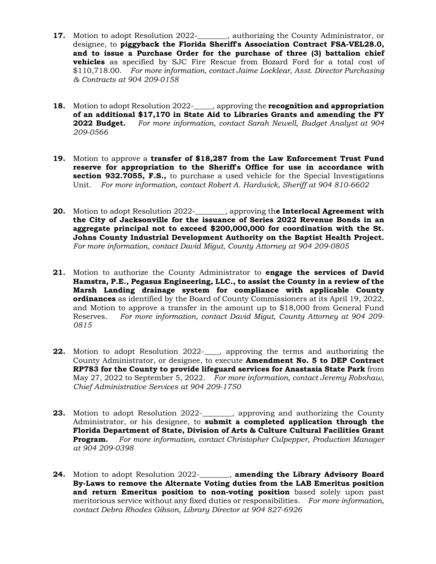- **17.** Motion to adopt Resolution 2022-\_\_\_\_\_\_\_, authorizing the County Administrator, or designee, to **piggyback the Florida Sheriff's Association Contract FSA-VEL28.0, and to issue a Purchase Order for the purchase of three (3) battalion chief vehicles** as specified by SJC Fire Rescue from Bozard Ford for a total cost of \$110,718.00. *For more information, contact Jaime Locklear, Asst. Director Purchasing & Contracts at 904 209-0158*
- **18.** Motion to adopt Resolution 2022-\_\_\_\_\_, approving the **recognition and appropriation [of an additional \\$17,170 in State Aid to Libraries Grants and amending the FY](https://stjohnsclerk.com/minrec/agendas/2022/051722cd/05-17-22CON18.pdf)  2022 Budget.** *For more information, contact Sarah Newell, Budget Analyst at 904 209-0566*
- **19.** Motion to approve a **transfer of \$18,287 from the Law Enforcement Trust Fund [reserve for appropriation to the Sheriff's Office for use in accordance with](https://stjohnsclerk.com/minrec/agendas/2022/051722cd/05-17-22CON19.pdf)  section 932.7055, F.S.,** to purchase a used vehicle for the Special Investigations Unit. *For more information, contact Robert A. Hardwick, Sheriff at 904 810-6602*
- **20.** Motion to adopt Resolution 2022-\_\_\_\_\_\_\_\_, approving th**e Interlocal Agreement with [the City of Jacksonville for the issuance of Series 2022 Revenue Bonds in an](https://stjohnsclerk.com/minrec/agendas/2022/051722cd/05-17-22CON20.pdf)  aggregate principal not to exceed \$200,000,000 for coordination with the St. Johns County Industrial Development Authority on the Baptist Health Project.** *For more information, contact David Migut, County Attorney at 904 209-0805*
- **21.** Motion to authorize the County Administrator to **engage the services of David Hamstra, P.E., Pegasus Engineering, LLC., to assist the County in a review of the [Marsh Landing drainage system for compliance with applicable County](https://stjohnsclerk.com/minrec/agendas/2022/051722cd/05-17-22CON21.pdf)  ordinances** as identified by the Board of County Commissioners at its April 19, 2022, and Motion to approve a transfer in the amount up to \$18,000 from General Fund Reserves. *For more information, contact David Migut, County Attorney at 904 209- 0815*
- **22.** [Motion to adopt Resolution 2022-\\_\\_\\_\\_, approving the terms and authorizing the](https://stjohnsclerk.com/minrec/agendas/2022/051722cd/05-17-22CON22.pdf)  County Administrator, or designee, to execute **Amendment No. 5 to DEP Contract RP783 for the County to provide lifeguard services for Anastasia State Park** from May 27, 2022 to September 5, 2022. *For more information, contact Jeremy Robshaw, Chief Administrative Services at 904 209-1750*
- **23.** Motion to adopt Resolution 2022-\_\_\_\_\_\_, approving and authorizing the County Administrator, or his designee, to **submit a completed application through the Florida Department of State, Division of Arts & Culture Cultural Facilities Grant Program.** *For more information, contact Christopher Culpepper, Production Manager at 904 209-0398*
- **24.** Motion to adopt Resolution 2022-\_\_\_\_\_\_\_\_, **amending the Library Advisory Board [By-Laws to remove the Alternate Voting duties from the LAB Emeritus position](https://stjohnsclerk.com/minrec/agendas/2022/051722cd/05-17-22CON24.pdf)  and return Emeritus position to non-voting position** based solely upon past meritorious service without any fixed duties or responsibilities. *For more information, contact Debra Rhodes Gibson, Library Director at 904 827-6926*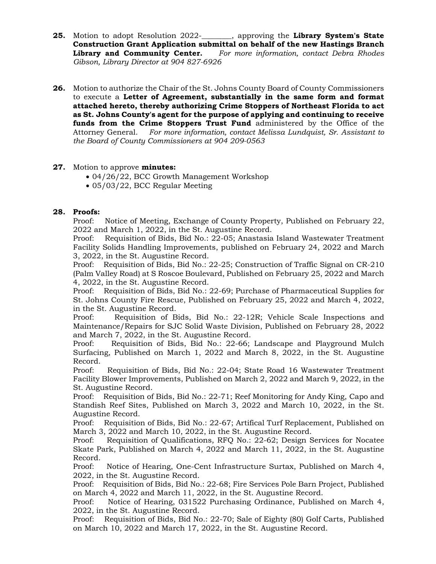- **25.** Motion to adopt Resolution 2022-\_\_\_\_\_\_\_\_, approving the **Library System's State [Construction Grant Application submittal on behalf of the new Hastings Branch](https://stjohnsclerk.com/minrec/agendas/2022/051722cd/05-17-22CON25.pdf)  Library and Community Center.** *For more information, contact Debra Rhodes Gibson, Library Director at 904 827-6926*
- **26.** [Motion to authorize the Chair of the St. Johns County Board of County Commissioners](https://stjohnsclerk.com/minrec/agendas/2022/051722cd/05-17-22CON26.pdf)  to execute a **Letter of Agreement, substantially in the same form and format attached hereto, thereby authorizing Crime Stoppers of Northeast Florida to act as St. Johns County's agent for the purpose of applying and continuing to receive funds from the Crime Stoppers Trust Fund** administered by the Office of the Attorney General. *For more information, contact Melissa Lundquist, Sr. Assistant to the Board of County Commissioners at 904 209-0563*

# **27.** Motion to approve **minutes:**

- [04/26/22, BCC Growth Management Workshop](https://stjohnsclerk.com/minrec/agendas/2022/051722cd/05-17-22CON27a.pdf)
- [05/03/22, BCC Regular Meeting](https://stjohnsclerk.com/minrec/agendas/2022/051722cd/05-17-22CON27b.pdf)

# **28. Proofs:**

Proof: Notice of Meeting, Exchange of County Property, Published on February 22, 2022 and March 1, 2022, in the St. Augustine Record.

Proof: Requisition of Bids, Bid No.: 22-05; Anastasia Island Wastewater Treatment Facility Solids Handling Improvements, published on February 24, 2022 and March 3, 2022, in the St. Augustine Record.

Proof: Requisition of Bids, Bid No.: 22-25; Construction of Traffic Signal on CR-210 (Palm Valley Road) at S Roscoe Boulevard, Published on February 25, 2022 and March 4, 2022, in the St. Augustine Record.

Proof: Requisition of Bids, Bid No.: 22-69; Purchase of Pharmaceutical Supplies for St. Johns County Fire Rescue, Published on February 25, 2022 and March 4, 2022, in the St. Augustine Record.

Proof: Requisition of Bids, Bid No.: 22-12R; Vehicle Scale Inspections and Maintenance/Repairs for SJC Solid Waste Division, Published on February 28, 2022 and March 7, 2022, in the St. Augustine Record.

Proof: Requisition of Bids, Bid No.: 22-66; Landscape and Playground Mulch Surfacing, Published on March 1, 2022 and March 8, 2022, in the St. Augustine Record.

Proof: Requisition of Bids, Bid No.: 22-04; State Road 16 Wastewater Treatment Facility Blower Improvements, Published on March 2, 2022 and March 9, 2022, in the St. Augustine Record.

Proof: Requisition of Bids, Bid No.: 22-71; Reef Monitoring for Andy King, Capo and Standish Reef Sites, Published on March 3, 2022 and March 10, 2022, in the St. Augustine Record.

Proof: Requisition of Bids, Bid No.: 22-67; Artifical Turf Replacement, Published on March 3, 2022 and March 10, 2022, in the St. Augustine Record.

Proof: Requisition of Qualifications, RFQ No.: 22-62; Design Services for Nocatee Skate Park, Published on March 4, 2022 and March 11, 2022, in the St. Augustine Record.

Proof: Notice of Hearing, One-Cent Infrastructure Surtax, Published on March 4, 2022, in the St. Augustine Record.

Proof: Requisition of Bids, Bid No.: 22-68; Fire Services Pole Barn Project, Published on March 4, 2022 and March 11, 2022, in the St. Augustine Record.

Proof: Notice of Hearing, 031522 Purchasing Ordinance, Published on March 4, 2022, in the St. Augustine Record.

Proof: Requisition of Bids, Bid No.: 22-70; Sale of Eighty (80) Golf Carts, Published on March 10, 2022 and March 17, 2022, in the St. Augustine Record.